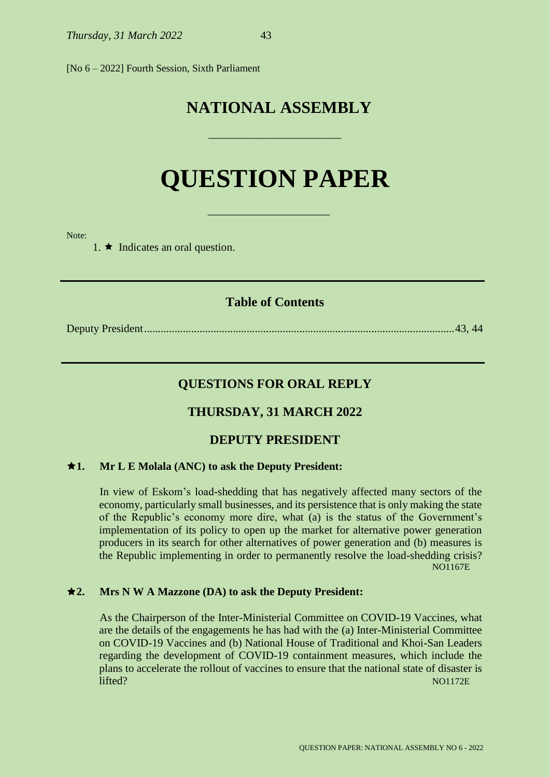[No 6 – 2022] Fourth Session, Sixth Parliament

# **NATIONAL ASSEMBLY**

# **QUESTION PAPER**

\_\_\_\_\_\_\_\_\_\_\_\_\_\_\_\_\_\_\_\_\_\_

\_\_\_\_\_\_\_\_\_\_\_\_\_\_\_\_\_\_\_\_\_\_\_\_

Note:

1.  $\star$  Indicates an oral question.

# **Table of Contents**

Deputy President................................................................................................................43, 44

# **QUESTIONS FOR ORAL REPLY**

# **THURSDAY, 31 MARCH 2022**

# **DEPUTY PRESIDENT**

#### **1. Mr L E Molala (ANC) to ask the Deputy President:**

In view of Eskom's load-shedding that has negatively affected many sectors of the economy, particularly small businesses, and its persistence that is only making the state of the Republic's economy more dire, what (a) is the status of the Government's implementation of its policy to open up the market for alternative power generation producers in its search for other alternatives of power generation and (b) measures is the Republic implementing in order to permanently resolve the load-shedding crisis? NO1167E

# **2. Mrs N W A Mazzone (DA) to ask the Deputy President:**

As the Chairperson of the Inter-Ministerial Committee on COVID-19 Vaccines, what are the details of the engagements he has had with the (a) Inter-Ministerial Committee on COVID-19 Vaccines and (b) National House of Traditional and Khoi-San Leaders regarding the development of COVID-19 containment measures, which include the plans to accelerate the rollout of vaccines to ensure that the national state of disaster is lifted? NO1172E